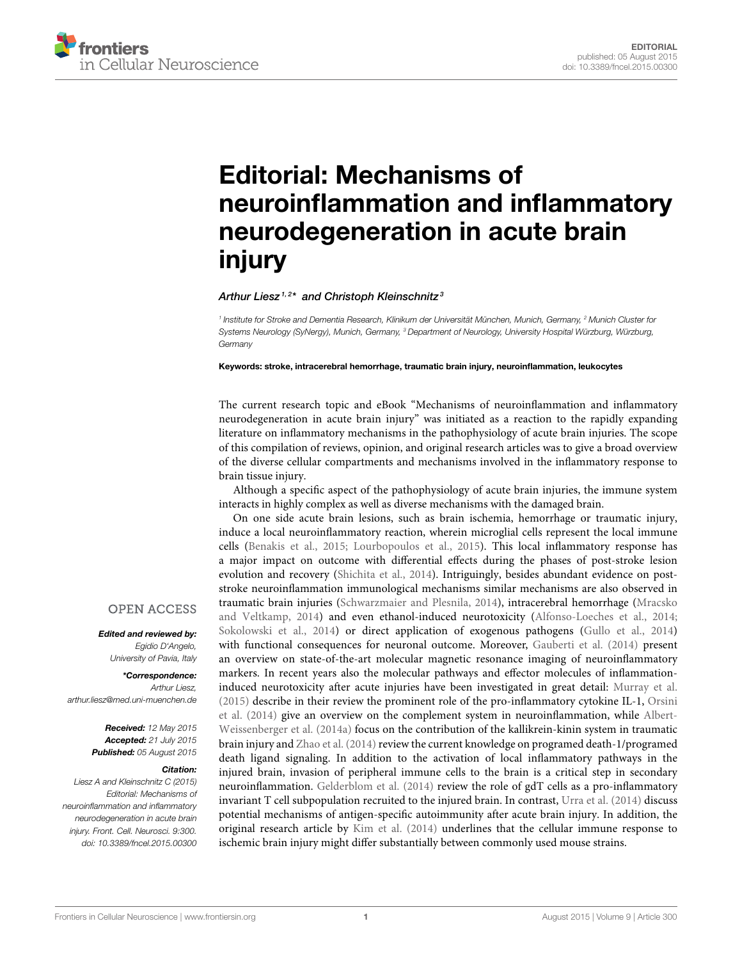

# Editorial: Mechanisms of [neuroinflammation and inflammatory](http://journal.frontiersin.org/article/10.3389/fncel.2015.00300/full) neurodegeneration in acute brain injury

#### [Arthur Liesz](http://loop.frontiersin.org/people/139648/overview)<sup>1,2\*</sup> and [Christoph Kleinschnitz](http://loop.frontiersin.org/people/73838/overview)<sup>3</sup>

<sup>1</sup> Institute for Stroke and Dementia Research, Klinikum der Universität München, Munich, Germany, <sup>2</sup> Munich Cluster for Systems Neurology (SyNergy), Munich, Germany, <sup>3</sup> Department of Neurology, University Hospital Würzburg, Würzburg, **Germany** 

Keywords: stroke, intracerebral hemorrhage, traumatic brain injury, neuroinflammation, leukocytes

The current research topic and eBook "Mechanisms of neuroinflammation and inflammatory neurodegeneration in acute brain injury" was initiated as a reaction to the rapidly expanding literature on inflammatory mechanisms in the pathophysiology of acute brain injuries. The scope of this compilation of reviews, opinion, and original research articles was to give a broad overview of the diverse cellular compartments and mechanisms involved in the inflammatory response to brain tissue injury.

Although a specific aspect of the pathophysiology of acute brain injuries, the immune system interacts in highly complex as well as diverse mechanisms with the damaged brain.

On one side acute brain lesions, such as brain ischemia, hemorrhage or traumatic injury, induce a local neuroinflammatory reaction, wherein microglial cells represent the local immune cells [\(Benakis et al., 2015;](#page-1-0) [Lourbopoulos et al., 2015\)](#page-1-1). This local inflammatory response has a major impact on outcome with differential effects during the phases of post-stroke lesion evolution and recovery [\(Shichita et al., 2014\)](#page-1-2). Intriguingly, besides abundant evidence on poststroke neuroinflammation immunological mechanisms similar mechanisms are also observed in traumatic brain injuries [\(Schwarzmaier and Plesnila, 2014\)](#page-1-3), intracerebral hemorrhage (Mracsko and Veltkamp, [2014\)](#page-1-4) and even ethanol-induced neurotoxicity [\(Alfonso-Loeches et al., 2014;](#page-1-5) [Sokolowski et al., 2014\)](#page-1-6) or direct application of exogenous pathogens [\(Gullo et al., 2014\)](#page-1-7) with functional consequences for neuronal outcome. Moreover, [Gauberti et al. \(2014\)](#page-1-8) present an overview on state-of-the-art molecular magnetic resonance imaging of neuroinflammatory markers. In recent years also the molecular pathways and effector molecules of inflammationinduced neurotoxicity after acute injuries have been investigated in great detail: [Murray et al.](#page-1-9) [\(2015\)](#page-1-9) describe in their review the prominent role of the pro-inflammatory cytokine IL-1, Orsini et al. [\(2014\)](#page-1-10) give an overview on the complement system in neuroinflammation, while Albert-Weissenberger et al. [\(2014a\)](#page-1-11) focus on the contribution of the kallikrein-kinin system in traumatic brain injury and [Zhao et al. \(2014\)](#page-1-12) review the current knowledge on programed death-1/programed death ligand signaling. In addition to the activation of local inflammatory pathways in the injured brain, invasion of peripheral immune cells to the brain is a critical step in secondary neuroinflammation. [Gelderblom et al. \(2014\)](#page-1-13) review the role of gdT cells as a pro-inflammatory invariant T cell subpopulation recruited to the injured brain. In contrast, [Urra et al. \(2014\)](#page-1-14) discuss potential mechanisms of antigen-specific autoimmunity after acute brain injury. In addition, the original research article by [Kim et al. \(2014\)](#page-1-15) underlines that the cellular immune response to ischemic brain injury might differ substantially between commonly used mouse strains.

### **OPEN ACCESS**

Edited and reviewed by: Egidio D'Angelo, University of Pavia, Italy

\*Correspondence: Arthur Liesz [arthur.liesz@med.uni-muenchen.de](mailto:arthur.liesz@med.uni-muenchen.de)

> Received: 12 May 2015 Accepted: 21 July 2015 Published: 05 August 2015

#### Citation:

Liesz A and Kleinschnitz C (2015) Editorial: Mechanisms of neuroinflammation and inflammatory neurodegeneration in acute brain injury. Front. Cell. Neurosci. 9:300. doi: [10.3389/fncel.2015.00300](http://dx.doi.org/10.3389/fncel.2015.00300)